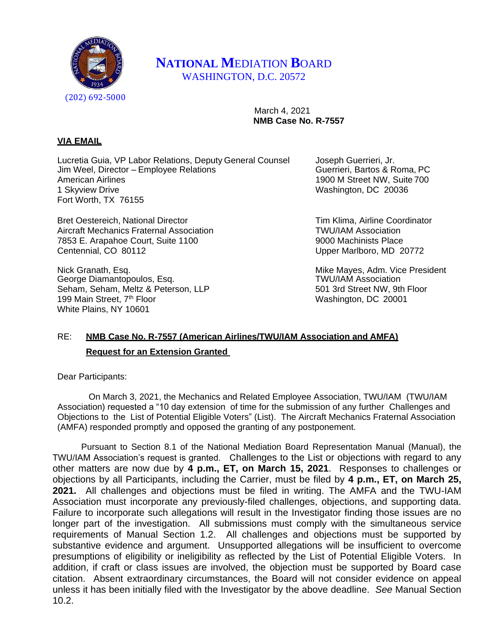

## **NATIONAL M**EDIATION **B**OARD WASHINGTON, D.C. 20572

 March 4, 2021  **NMB Case No. R-7557**

## **VIA EMAIL**

Lucretia Guia, VP Labor Relations, Deputy General Counsel Joseph Guerrieri, Jr.<br>Jim Weel, Director – Employee Relations Guerrieri, Bartos & Roma, PC Jim Weel, Director – Employee Relations American Airlines **1900 M Street NW, Suite 700** 1 Skyview Drive Washington, DC 20036 Fort Worth, TX 76155

Bret Oestereich, National Director **Tim Klima, Airline Coordinator** Tim Klima, Airline Coordinator Aircraft Mechanics Fraternal Association TWU/IAM Association 7853 E. Arapahoe Court, Suite 1100 9000 Machinists Place Centennial, CO 80112 Upper Marlboro, MD 20772

Nick Granath, Esq. (a) a state of the Mayes, Adm. Vice President (a) a state of the Mayes, Adm. Vice President<br>George Diamantopoulos. Esq. (a) a state of the Mayes of TWU/IAM Association George Diamantopoulos, Esq. Seham, Seham, Meltz & Peterson, LLP 501 3rd Street NW, 9th Floor 199 Main Street, 7<sup>th</sup> Floor Washington, DC 20001 White Plains, NY 10601

## RE: **NMB Case No. R-7557 (American Airlines/TWU/IAM Association and AMFA) Request for an Extension Granted**

Dear Participants:

On March 3, 2021, the Mechanics and Related Employee Association, TWU/IAM (TWU/IAM Association) requested a "10 day extension of time for the submission of any further Challenges and Objections to the List of Potential Eligible Voters" (List). The Aircraft Mechanics Fraternal Association (AMFA) responded promptly and opposed the granting of any postponement.

Pursuant to Section 8.1 of the National Mediation Board Representation Manual (Manual), the TWU/IAM Association's request is granted. Challenges to the List or objections with regard to any other matters are now due by **4 p.m., ET, on March 15, 2021**. Responses to challenges or objections by all Participants, including the Carrier, must be filed by **4 p.m., ET, on March 25, 2021.** All challenges and objections must be filed in writing. The AMFA and the TWU-IAM Association must incorporate any previously-filed challenges, objections, and supporting data. Failure to incorporate such allegations will result in the Investigator finding those issues are no longer part of the investigation. All submissions must comply with the simultaneous service requirements of Manual Section 1.2. All challenges and objections must be supported by substantive evidence and argument. Unsupported allegations will be insufficient to overcome presumptions of eligibility or ineligibility as reflected by the List of Potential Eligible Voters. In addition, if craft or class issues are involved, the objection must be supported by Board case citation. Absent extraordinary circumstances, the Board will not consider evidence on appeal unless it has been initially filed with the Investigator by the above deadline. *See* Manual Section 10.2.